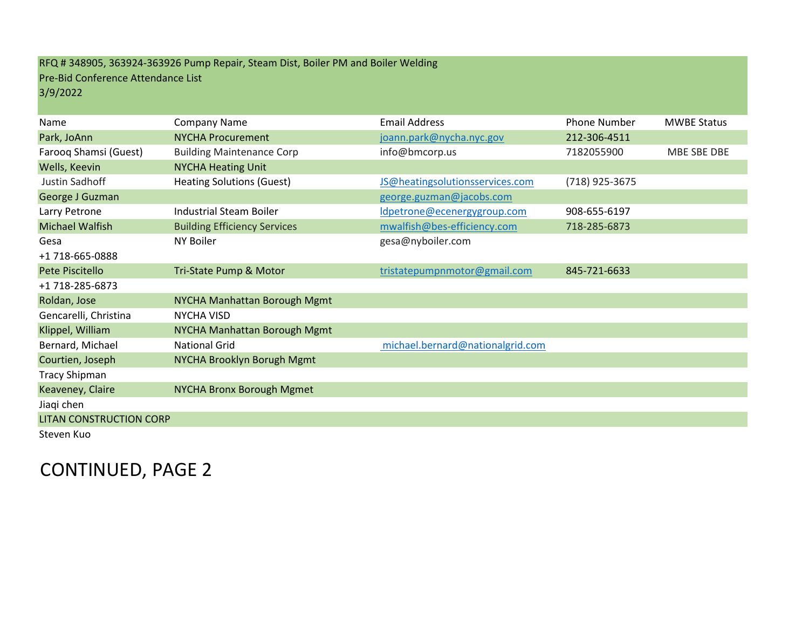## RFQ # 348905, 363924-363926 Pump Repair, Steam Dist, Boiler PM and Boiler Welding Pre-Bid Conference Attendance List 3/9/2022

| Name                           | Company Name                        | <b>Email Address</b>             | <b>Phone Number</b> | <b>MWBE Status</b> |
|--------------------------------|-------------------------------------|----------------------------------|---------------------|--------------------|
| Park, JoAnn                    | <b>NYCHA Procurement</b>            | joann.park@nycha.nyc.gov         | 212-306-4511        |                    |
| Farooq Shamsi (Guest)          | <b>Building Maintenance Corp</b>    | info@bmcorp.us                   | 7182055900          | MBE SBE DBE        |
| Wells, Keevin                  | <b>NYCHA Heating Unit</b>           |                                  |                     |                    |
| Justin Sadhoff                 | <b>Heating Solutions (Guest)</b>    | JS@heatingsolutionsservices.com  | (718) 925-3675      |                    |
| George J Guzman                |                                     | george.guzman@jacobs.com         |                     |                    |
| Larry Petrone                  | <b>Industrial Steam Boiler</b>      | Idpetrone@ecenergygroup.com      | 908-655-6197        |                    |
| Michael Walfish                | <b>Building Efficiency Services</b> | mwalfish@bes-efficiency.com      | 718-285-6873        |                    |
| Gesa                           | NY Boiler                           | gesa@nyboiler.com                |                     |                    |
| +1 718-665-0888                |                                     |                                  |                     |                    |
| Pete Piscitello                | Tri-State Pump & Motor              | tristatepumpnmotor@gmail.com     | 845-721-6633        |                    |
| +1 718-285-6873                |                                     |                                  |                     |                    |
| Roldan, Jose                   | NYCHA Manhattan Borough Mgmt        |                                  |                     |                    |
| Gencarelli, Christina          | <b>NYCHA VISD</b>                   |                                  |                     |                    |
| Klippel, William               | NYCHA Manhattan Borough Mgmt        |                                  |                     |                    |
| Bernard, Michael               | <b>National Grid</b>                | michael.bernard@nationalgrid.com |                     |                    |
| Courtien, Joseph               | NYCHA Brooklyn Borugh Mgmt          |                                  |                     |                    |
| <b>Tracy Shipman</b>           |                                     |                                  |                     |                    |
| Keaveney, Claire               | <b>NYCHA Bronx Borough Mgmet</b>    |                                  |                     |                    |
| Jiaqi chen                     |                                     |                                  |                     |                    |
| <b>LITAN CONSTRUCTION CORP</b> |                                     |                                  |                     |                    |
| Steven Kuo                     |                                     |                                  |                     |                    |

CONTINUED, PAGE 2